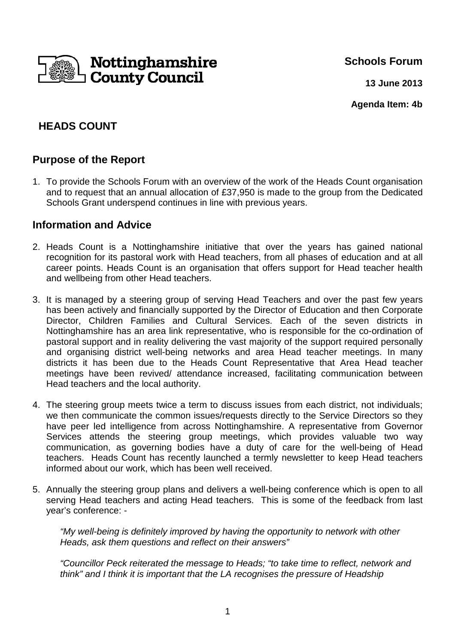

**Schools Forum**

**13 June 2013**

**Agenda Item: 4b**

# **HEADS COUNT**

### **Purpose of the Report**

1. To provide the Schools Forum with an overview of the work of the Heads Count organisation and to request that an annual allocation of £37,950 is made to the group from the Dedicated Schools Grant underspend continues in line with previous years.

### **Information and Advice**

- 2. Heads Count is a Nottinghamshire initiative that over the years has gained national recognition for its pastoral work with Head teachers, from all phases of education and at all career points. Heads Count is an organisation that offers support for Head teacher health and wellbeing from other Head teachers.
- 3. It is managed by a steering group of serving Head Teachers and over the past few years has been actively and financially supported by the Director of Education and then Corporate Director, Children Families and Cultural Services. Each of the seven districts in Nottinghamshire has an area link representative, who is responsible for the co-ordination of pastoral support and in reality delivering the vast majority of the support required personally and organising district well-being networks and area Head teacher meetings. In many districts it has been due to the Heads Count Representative that Area Head teacher meetings have been revived/ attendance increased, facilitating communication between Head teachers and the local authority.
- 4. The steering group meets twice a term to discuss issues from each district, not individuals; we then communicate the common issues/requests directly to the Service Directors so they have peer led intelligence from across Nottinghamshire. A representative from Governor Services attends the steering group meetings, which provides valuable two way communication, as governing bodies have a duty of care for the well-being of Head teachers. Heads Count has recently launched a termly newsletter to keep Head teachers informed about our work, which has been well received.
- 5. Annually the steering group plans and delivers a well-being conference which is open to all serving Head teachers and acting Head teachers. This is some of the feedback from last year's conference: -

"My well-being is definitely improved by having the opportunity to network with other Heads, ask them questions and reflect on their answers"

"Councillor Peck reiterated the message to Heads; "to take time to reflect, network and think" and I think it is important that the LA recognises the pressure of Headship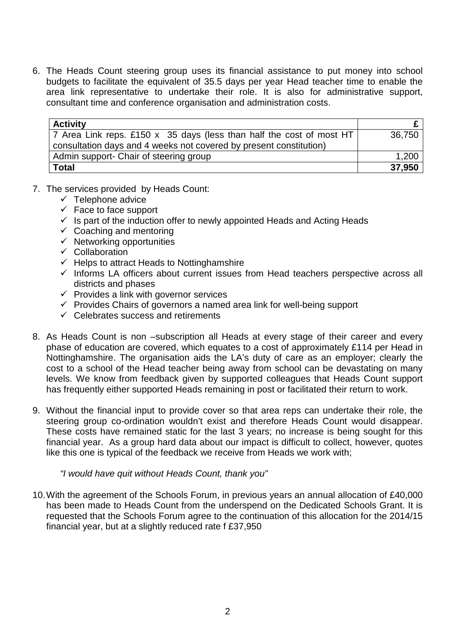6. The Heads Count steering group uses its financial assistance to put money into school budgets to facilitate the equivalent of 35.5 days per year Head teacher time to enable the area link representative to undertake their role. It is also for administrative support, consultant time and conference organisation and administration costs.

| <b>Activity</b>                                                                                                                             |        |
|---------------------------------------------------------------------------------------------------------------------------------------------|--------|
| 7 Area Link reps. £150 x 35 days (less than half the cost of most HT)<br>consultation days and 4 weeks not covered by present constitution) | 36.750 |
| Admin support- Chair of steering group                                                                                                      | 1,200  |
| <b>Total</b>                                                                                                                                | 37,950 |

- 7. The services provided by Heads Count:
	- $\checkmark$  Telephone advice
	- $\checkmark$  Face to face support
	- $\checkmark$  Is part of the induction offer to newly appointed Heads and Acting Heads
	- $\checkmark$  Coaching and mentoring
	- $\checkmark$  Networking opportunities
	- $\checkmark$  Collaboration
	- $\checkmark$  Helps to attract Heads to Nottinghamshire
	- $\checkmark$  Informs LA officers about current issues from Head teachers perspective across all districts and phases
	- $\checkmark$  Provides a link with governor services
	- $\checkmark$  Provides Chairs of governors a named area link for well-being support
	- $\checkmark$  Celebrates success and retirements
- 8. As Heads Count is non –subscription all Heads at every stage of their career and every phase of education are covered, which equates to a cost of approximately £114 per Head in Nottinghamshire. The organisation aids the LA's duty of care as an employer; clearly the cost to a school of the Head teacher being away from school can be devastating on many levels. We know from feedback given by supported colleagues that Heads Count support has frequently either supported Heads remaining in post or facilitated their return to work.
- 9. Without the financial input to provide cover so that area reps can undertake their role, the steering group co-ordination wouldn't exist and therefore Heads Count would disappear. These costs have remained static for the last 3 years; no increase is being sought for this financial year. As a group hard data about our impact is difficult to collect, however, quotes like this one is typical of the feedback we receive from Heads we work with;

"I would have quit without Heads Count, thank you"

10. With the agreement of the Schools Forum, in previous years an annual allocation of £40,000 has been made to Heads Count from the underspend on the Dedicated Schools Grant. It is requested that the Schools Forum agree to the continuation of this allocation for the 2014/15 financial year, but at a slightly reduced rate f £37,950